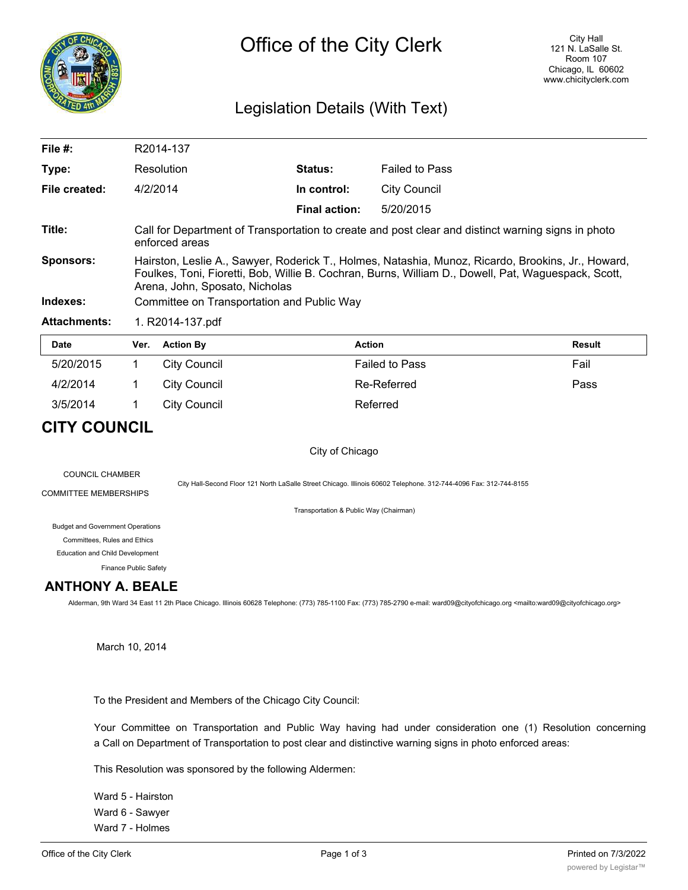

## Legislation Details (With Text)

| File $#$ :          | R2014-137                                                                                                                                                                                                                                   |                      |                       |               |  |  |
|---------------------|---------------------------------------------------------------------------------------------------------------------------------------------------------------------------------------------------------------------------------------------|----------------------|-----------------------|---------------|--|--|
| Type:               | Resolution                                                                                                                                                                                                                                  | Status:              | <b>Failed to Pass</b> |               |  |  |
| File created:       | 4/2/2014                                                                                                                                                                                                                                    | In control:          | City Council          |               |  |  |
|                     |                                                                                                                                                                                                                                             | <b>Final action:</b> | 5/20/2015             |               |  |  |
| Title:              | Call for Department of Transportation to create and post clear and distinct warning signs in photo<br>enforced areas                                                                                                                        |                      |                       |               |  |  |
| <b>Sponsors:</b>    | Hairston, Leslie A., Sawyer, Roderick T., Holmes, Natashia, Munoz, Ricardo, Brookins, Jr., Howard,<br>Foulkes, Toni, Fioretti, Bob, Willie B. Cochran, Burns, William D., Dowell, Pat, Waguespack, Scott,<br>Arena, John, Sposato, Nicholas |                      |                       |               |  |  |
| Indexes:            | Committee on Transportation and Public Way                                                                                                                                                                                                  |                      |                       |               |  |  |
| <b>Attachments:</b> | 1. R2014-137.pdf                                                                                                                                                                                                                            |                      |                       |               |  |  |
| <b>Date</b>         | <b>Action By</b><br>Ver.                                                                                                                                                                                                                    |                      | <b>Action</b>         | <b>Result</b> |  |  |

| <b>Date</b> | Ver. | <b>Action By</b> | <b>Action</b>         | <b>Result</b> |
|-------------|------|------------------|-----------------------|---------------|
| 5/20/2015   |      | City Council     | <b>Failed to Pass</b> | Fail          |
| 4/2/2014    |      | City Council     | Re-Referred           | Pass          |
| 3/5/2014    |      | City Council     | Referred              |               |

# **CITY COUNCIL**

### City of Chicago

COUNCIL CHAMBER

COMMITTEE MEMBERSHIPS

City Hall-Second Floor 121 North LaSalle Street Chicago. Illinois 60602 Telephone. 312-744-4096 Fax: 312-744-8155

Transportation & Public Way (Chairman)

#### Budget and Government Operations

Committees, Rules and Ethics

Education and Child Development

Finance Public Safety

### **ANTHONY A. BEALE**

Alderman, 9th Ward 34 East 11 2th Place Chicago. Illinois 60628 Telephone: (773) 785-1100 Fax: (773) 785-2790 e-mail: ward09@cityofchicago.org <mailto:ward09@cityofchicago.org>

March 10, 2014

To the President and Members of the Chicago City Council:

Your Committee on Transportation and Public Way having had under consideration one (1) Resolution concerning a Call on Department of Transportation to post clear and distinctive warning signs in photo enforced areas:

This Resolution was sponsored by the following Aldermen:

Ward 5 - Hairston Ward 6 - Sawyer Ward 7 - Holmes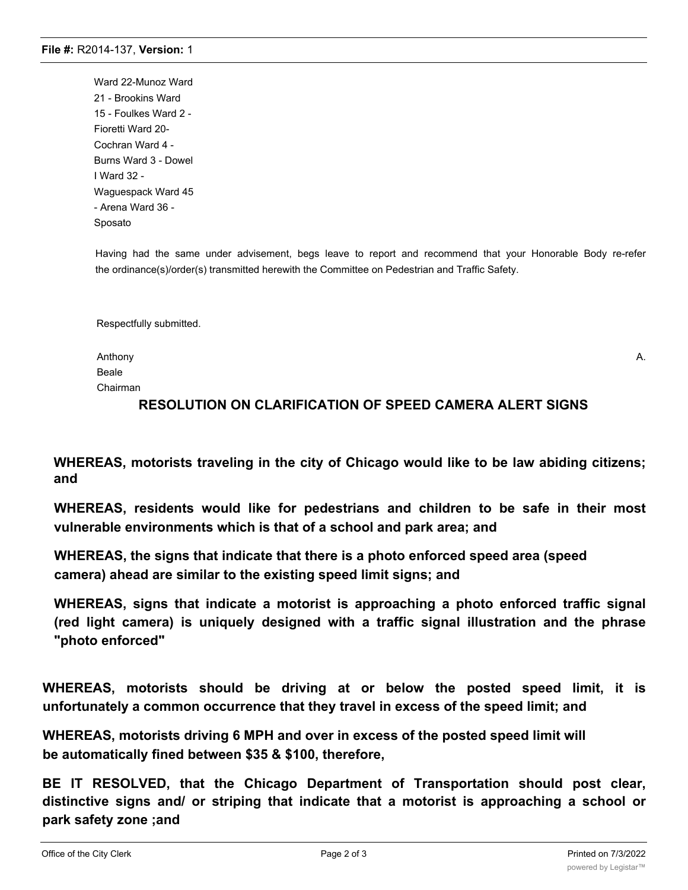Ward 22-Munoz Ward 21 - Brookins Ward 15 - Foulkes Ward 2 - Fioretti Ward 20- Cochran Ward 4 - Burns Ward 3 - Dowel I Ward 32 - Waguespack Ward 45 - Arena Ward 36 - Sposato

Having had the same under advisement, begs leave to report and recommend that your Honorable Body re-refer the ordinance(s)/order(s) transmitted herewith the Committee on Pedestrian and Traffic Safety.

Respectfully submitted.

Anthony A. Beale Chairman

## **RESOLUTION ON CLARIFICATION OF SPEED CAMERA ALERT SIGNS**

**WHEREAS, motorists traveling in the city of Chicago would like to be law abiding citizens; and**

**WHEREAS, residents would like for pedestrians and children to be safe in their most vulnerable environments which is that of a school and park area; and**

**WHEREAS, the signs that indicate that there is a photo enforced speed area (speed camera) ahead are similar to the existing speed limit signs; and**

**WHEREAS, signs that indicate a motorist is approaching a photo enforced traffic signal (red light camera) is uniquely designed with a traffic signal illustration and the phrase "photo enforced"**

**WHEREAS, motorists should be driving at or below the posted speed limit, it is unfortunately a common occurrence that they travel in excess of the speed limit; and**

**WHEREAS, motorists driving 6 MPH and over in excess of the posted speed limit will be automatically fined between \$35 & \$100, therefore,**

**BE IT RESOLVED, that the Chicago Department of Transportation should post clear, distinctive signs and/ or striping that indicate that a motorist is approaching a school or park safety zone ;and**